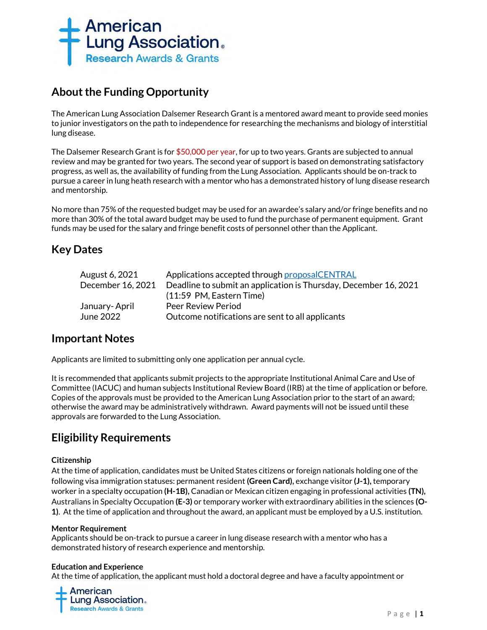

# **About the Funding Opportunity**

The American Lung Association Dalsemer Research Grant is a mentored award meant to provide seed monies to junior investigators on the path to independence for researching the mechanisms and biology of interstitial lung disease.

The Dalsemer Research Grant is for \$50,000 per year, for up to two years. Grants are subjected to annual review and may be granted for two years. The second year of support is based on demonstrating satisfactory progress, as well as, the availability of funding from the Lung Association. Applicants should be on-track to pursue a career in lung heath research with a mentor who has a demonstrated history of lung disease research and mentorship.

No more than 75% of the requested budget may be used for an awardee's salary and/or fringe benefits and no more than 30% of the total award budget may be used to fund the purchase of permanent equipment. Grant funds may be used for the salary and fringe benefit costs of personnel other than the Applicant.

# **Key Dates**

| August 6, 2021    | Applications accepted through proposalCENTRAL                    |
|-------------------|------------------------------------------------------------------|
| December 16, 2021 | Deadline to submit an application is Thursday, December 16, 2021 |
|                   | (11:59 PM, Eastern Time)                                         |
| January- April    | Peer Review Period                                               |
| June 2022         | Outcome notifications are sent to all applicants                 |
|                   |                                                                  |

# **Important Notes**

Applicants are limited to submitting only one application per annual cycle.

It is recommended that applicants submit projects to the appropriate Institutional Animal Care and Use of Committee (IACUC) and human subjects Institutional Review Board (IRB) at the time of application or before. Copies of the approvals must be provided to the American Lung Association prior to the start of an award; otherwise the award may be administratively withdrawn. Award payments will not be issued until these approvals are forwarded to the Lung Association.

# **Eligibility Requirements**

# **Citizenship**

At the time of application, candidates must be United States citizens or foreign nationals holding one of the following visa immigration statuses: permanent resident **(Green Card),** exchange visitor **(J-1),** temporary worker in a specialty occupation **(H-1B),** Canadian or Mexican citizen engaging in professional activities **(TN),** Australians in Specialty Occupation **(E-3)** or temporary worker with extraordinary abilities in the sciences **(O-1)**. At the time of application and throughout the award, an applicant must be employed by a U.S. institution.

# **Mentor Requirement**

Applicants should be on-track to pursue a career in lung disease research with a mentor who has a demonstrated history of research experience and mentorship.

# **Education and Experience**

At the time of application, the applicant must hold a doctoral degree and have a faculty appointment or

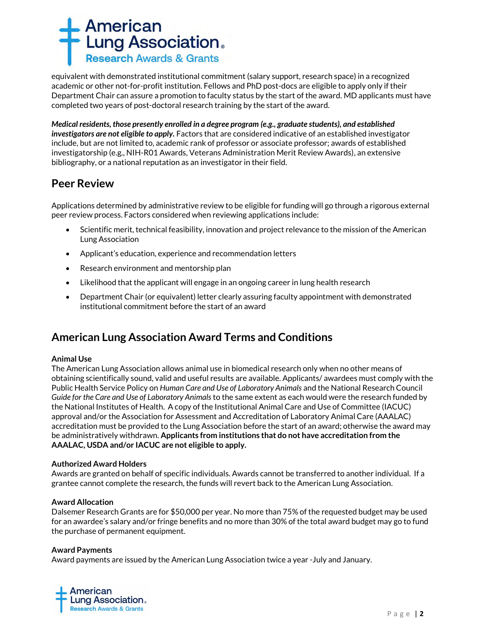

equivalent with demonstrated institutional commitment (salary support, research space) in a recognized academic or other not-for-profit institution. Fellows and PhD post-docs are eligible to apply only if their Department Chair can assure a promotion to faculty status by the start of the award*.* MD applicants must have completed two years of post-doctoral research training by the start of the award.

*Medical residents, those presently enrolled in a degree program (e.g., graduate students), and established investigators are not eligible to apply.* Factors that are considered indicative of an established investigator include, but are not limited to, academic rank of professor or associate professor; awards of established investigatorship (e.g., NIH-R01 Awards, Veterans Administration Merit Review Awards), an extensive bibliography, or a national reputation as an investigator in their field.

# **Peer Review**

Applications determined by administrative review to be eligible for funding will go through a rigorous external peer review process. Factors considered when reviewing applications include:

- Scientific merit, technical feasibility, innovation and project relevance to the mission of the American Lung Association
- Applicant's education, experience and recommendation letters
- Research environment and mentorship plan
- Likelihood that the applicant will engage in an ongoing career in lung health research
- Department Chair (or equivalent) letter clearly assuring faculty appointment with demonstrated institutional commitment before the start of an award

# **American Lung Association Award Terms and Conditions**

# **Animal Use**

The American Lung Association allows animal use in biomedical research only when no other means of obtaining scientifically sound, valid and useful results are available. Applicants/ awardees must comply with the Public Health Service Policy on *Human Care and Use of Laboratory Animals* and the National Research Council *Guide for the Care and Use of Laboratory Animals* to the same extent as each would were the research funded by the National Institutes of Health. A copy of the Institutional Animal Care and Use of Committee (IACUC) approval and/or the Association for Assessment and Accreditation of Laboratory Animal Care (AAALAC) accreditation must be provided to the Lung Association before the start of an award; otherwise the award may be administratively withdrawn. **Applicants from institutions that do not have accreditation from the AAALAC, USDA and/or IACUC are not eligible to apply.** 

# **Authorized Award Holders**

Awards are granted on behalf of specific individuals. Awards cannot be transferred to another individual. If a grantee cannot complete the research, the funds will revert back to the American Lung Association.

#### **Award Allocation**

Dalsemer Research Grants are for \$50,000 per year. No more than 75% of the requested budget may be used for an awardee's salary and/or fringe benefits and no more than 30% of the total award budget may go to fund the purchase of permanent equipment.

#### **Award Payments**

Award payments are issued by the American Lung Association twice a year -July and January.

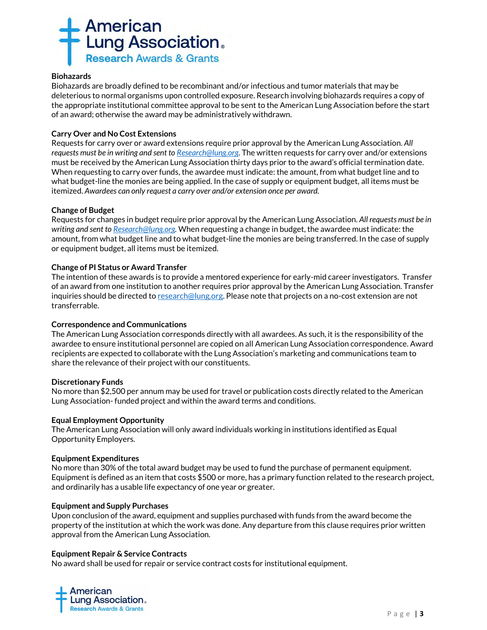

#### **Biohazards**

Biohazards are broadly defined to be recombinant and/or infectious and tumor materials that may be deleterious to normal organisms upon controlled exposure. Research involving biohazards requires a copy of the appropriate institutional committee approval to be sent to the American Lung Association before the start of an award; otherwise the award may be administratively withdrawn.

# **Carry Over and No Cost Extensions**

Requests for carry over or award extensions require prior approval by the American Lung Association. *All requests must be in writing and sent t[o Research@lung.org.](mailto:Research@lung.org)* The written requests for carry over and/or extensions must be received by the American Lung Association thirty days prior to the award's official termination date. When requesting to carry over funds, the awardee must indicate: the amount, from what budget line and to what budget-line the monies are being applied. In the case of supply or equipment budget, all items must be itemized. *Awardees can only request a carry over and/or extension once per award.* 

#### **Change of Budget**

Requests for changes in budget require prior approval by the American Lung Association. *All requests must be in writing and sent t[o Research@lung.org.](mailto:Research@lung.org)* When requesting a change in budget, the awardee must indicate: the amount, from what budget line and to what budget-line the monies are being transferred. In the case of supply or equipment budget, all items must be itemized.

# **Change of PI Status or Award Transfer**

The intention of these awards is to provide a mentored experience for early-mid career investigators. Transfer of an award from one institution to another requires prior approval by the American Lung Association. Transfer inquiries should be directed t[o research@lung.org.](mailto:research@lung.org) Please note that projects on a no-cost extension are not transferrable.

#### **Correspondence and Communications**

The American Lung Association corresponds directly with all awardees. As such, it is the responsibility of the awardee to ensure institutional personnel are copied on all American Lung Association correspondence. Award recipients are expected to collaborate with the Lung Association's marketing and communications team to share the relevance of their project with our constituents.

#### **Discretionary Funds**

No more than \$2,500 per annum may be used for travel or publication costs directly related to the American Lung Association- funded project and within the award terms and conditions.

#### **Equal Employment Opportunity**

The American Lung Association will only award individuals working in institutions identified as Equal Opportunity Employers.

#### **Equipment Expenditures**

No more than 30% of the total award budget may be used to fund the purchase of permanent equipment. Equipment is defined as an item that costs \$500 or more, has a primary function related to the research project, and ordinarily has a usable life expectancy of one year or greater.

#### **Equipment and Supply Purchases**

Upon conclusion of the award, equipment and supplies purchased with funds from the award become the property of the institution at which the work was done. Any departure from this clause requires prior written approval from the American Lung Association*.*

#### **Equipment Repair & Service Contracts**

No award shall be used for repair or service contract costs for institutional equipment.

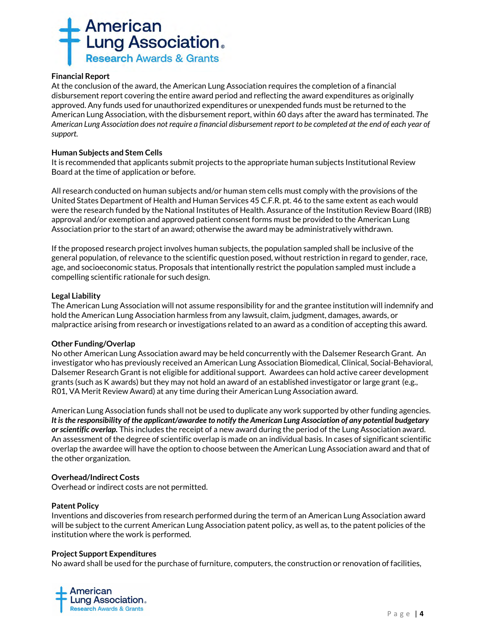

# **Financial Report**

At the conclusion of the award, the American Lung Association requires the completion of a financial disbursement report covering the entire award period and reflecting the award expenditures as originally approved. Any funds used for unauthorized expenditures or unexpended funds must be returned to the American Lung Association, with the disbursement report, within 60 days after the award has terminated. *The American Lung Association does not require a financial disbursement report to be completed at the end of each year of support.*

#### **Human Subjects and Stem Cells**

It is recommended that applicants submit projects to the appropriate human subjects Institutional Review Board at the time of application or before.

All research conducted on human subjects and/or human stem cells must comply with the provisions of the United States Department of Health and Human Services 45 C.F.R. pt. 46 to the same extent as each would were the research funded by the National Institutes of Health. Assurance of the Institution Review Board (IRB) approval and/or exemption and approved patient consent forms must be provided to the American Lung Association prior to the start of an award; otherwise the award may be administratively withdrawn.

If the proposed research project involves human subjects, the population sampled shall be inclusive of the general population, of relevance to the scientific question posed, without restriction in regard to gender, race, age, and socioeconomic status. Proposals that intentionally restrict the population sampled must include a compelling scientific rationale for such design.

# **Legal Liability**

The American Lung Association will not assume responsibility for and the grantee institution will indemnify and hold the American Lung Association harmless from any lawsuit, claim, judgment, damages, awards, or malpractice arising from research or investigations related to an award as a condition of accepting this award.

#### **Other Funding/Overlap**

No other American Lung Association award may be held concurrently with the Dalsemer Research Grant. An investigator who has previously received an American Lung Association Biomedical, Clinical, Social-Behavioral, Dalsemer Research Grant is not eligible for additional support. Awardees can hold active career development grants (such as K awards) but they may not hold an award of an established investigator or large grant (e.g., R01, VA Merit Review Award) at any time during their American Lung Association award.

American Lung Association funds shall not be used to duplicate any work supported by other funding agencies. *It is the responsibility of the applicant/awardee to notify the American Lung Association of any potential budgetary or scientific overlap.* This includes the receipt of a new award during the period of the Lung Association award. An assessment of the degree of scientific overlap is made on an individual basis. In cases of significant scientific overlap the awardee will have the option to choose between the American Lung Association award and that of the other organization.

#### **Overhead/Indirect Costs**

Overhead or indirect costs are not permitted.

#### **Patent Policy**

Inventions and discoveries from research performed during the term of an American Lung Association award will be subject to the current American Lung Association patent policy, as well as, to the patent policies of the institution where the work is performed.

#### **Project Support Expenditures**

No award shall be used for the purchase of furniture, computers, the construction or renovation of facilities,

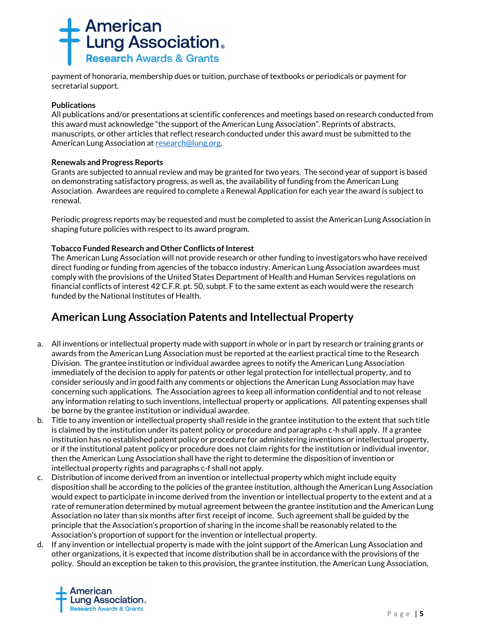

payment of honoraria, membership dues or tuition, purchase of textbooks or periodicals or payment for secretarial support.

### **Publications**

All publications and/or presentations at scientific conferences and meetings based on research conducted from this award must acknowledge "the support of the American Lung Association". Reprints of abstracts, manuscripts, or other articles that reflect research conducted under this award must be submitted to the American Lung Association a[t research@lung.org.](mailto:research@lung.org)

# **Renewals and Progress Reports**

Grants are subjected to annual review and may be granted for two years. The second year of support is based on demonstrating satisfactory progress, as well as, the availability of funding from the American Lung Association. Awardees are required to complete a Renewal Application for each year the award is subject to renewal.

Periodic progress reports may be requested and must be completed to assist the American Lung Association in shaping future policies with respect to its award program.

# **Tobacco Funded Research and Other Conflicts of Interest**

The American Lung Association will not provide research or other funding to investigators who have received direct funding or funding from agencies of the tobacco industry. American Lung Association awardees must comply with the provisions of the United States Department of Health and Human Services regulations on financial conflicts of interest 42 C.F.R. pt. 50, subpt. F to the same extent as each would were the research funded by the National Institutes of Health.

# **American Lung Association Patents and Intellectual Property**

- a. All inventions or intellectual property made with support in whole or in part by research or training grants or awards from the American Lung Association must be reported at the earliest practical time to the Research Division. The grantee institution or individual awardee agrees to notify the American Lung Association immediately of the decision to apply for patents or other legal protection for intellectual property, and to consider seriously and in good faith any comments or objections the American Lung Association may have concerning such applications. The Association agrees to keep all information confidential and to not release any information relating to such inventions, intellectual property or applications. All patenting expenses shall be borne by the grantee institution or individual awardee.
- b. Title to any invention or intellectual property shall reside in the grantee institution to the extent that such title is claimed by the institution under its patent policy or procedure and paragraphs c-h shall apply. If a grantee institution has no established patent policy or procedure for administering inventions or intellectual property, or if the institutional patent policy or procedure does not claim rights for the institution or individual inventor, then the American Lung Association shall have the right to determine the disposition of invention or intellectual property rights and paragraphs c-f shall not apply.
- c. Distribution of income derived from an invention or intellectual property which might include equity disposition shall be according to the policies of the grantee institution, although the American Lung Association would expect to participate in income derived from the invention or intellectual property to the extent and at a rate of remuneration determined by mutual agreement between the grantee institution and the American Lung Association no later than six months after first receipt of income. Such agreement shall be guided by the principle that the Association's proportion of sharing in the income shall be reasonably related to the Association's proportion of support for the invention or intellectual property.
- d. If any invention or intellectual property is made with the joint support of the American Lung Association and other organizations, it is expected that income distribution shall be in accordance with the provisions of the policy. Should an exception be taken to this provision, the grantee institution, the American Lung Association,

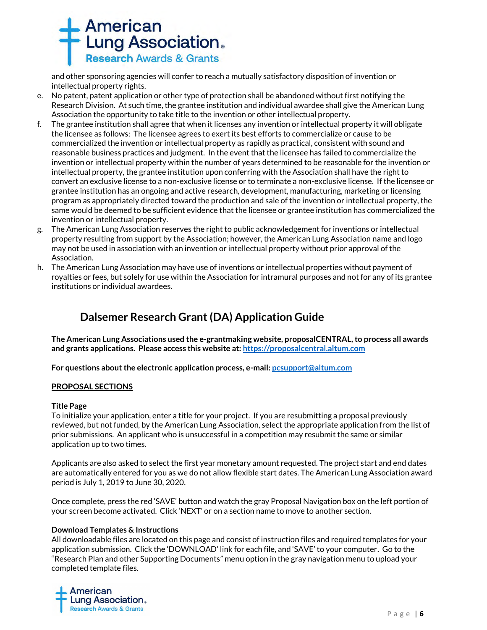

and other sponsoring agencies will confer to reach a mutually satisfactory disposition of invention or intellectual property rights.

- e. No patent, patent application or other type of protection shall be abandoned without first notifying the Research Division. At such time, the grantee institution and individual awardee shall give the American Lung Association the opportunity to take title to the invention or other intellectual property.
- f. The grantee institution shall agree that when it licenses any invention or intellectual property it will obligate the licensee as follows: The licensee agrees to exert its best efforts to commercialize or cause to be commercialized the invention or intellectual property as rapidly as practical, consistent with sound and reasonable business practices and judgment. In the event that the licensee has failed to commercialize the invention or intellectual property within the number of years determined to be reasonable for the invention or intellectual property, the grantee institution upon conferring with the Association shall have the right to convert an exclusive license to a non-exclusive license or to terminate a non-exclusive license. If the licensee or grantee institution has an ongoing and active research, development, manufacturing, marketing or licensing program as appropriately directed toward the production and sale of the invention or intellectual property, the same would be deemed to be sufficient evidence that the licensee or grantee institution has commercialized the invention or intellectual property.
- g. The American Lung Association reserves the right to public acknowledgement for inventions or intellectual property resulting from support by the Association; however, the American Lung Association name and logo may not be used in association with an invention or intellectual property without prior approval of the Association.
- h. The American Lung Association may have use of inventions or intellectual properties without payment of royalties or fees, but solely for use within the Association for intramural purposes and not for any of its grantee institutions or individual awardees.

# **Dalsemer Research Grant (DA) Application Guide**

**The American Lung Associations used the e-grantmaking website, proposalCENTRAL, to process all awards and grants applications. Please access this website at[: https://proposalcentral.altum.com](https://proposalcentral.altum.com/)**

**For questions about the electronic application process, e-mail[: pcsupport@altum.com](mailto:PCSUPPORT@ALTUM.COM)**

#### **PROPOSAL SECTIONS**

#### **Title Page**

To initialize your application, enter a title for your project. If you are resubmitting a proposal previously reviewed, but not funded, by the American Lung Association, select the appropriate application from the list of prior submissions. An applicant who is unsuccessful in a competition may resubmit the same or similar application up to two times.

Applicants are also asked to select the first year monetary amount requested. The project start and end dates are automatically entered for you as we do not allow flexible start dates. The American Lung Association award period is July 1, 2019 to June 30, 2020.

Once complete, press the red 'SAVE' button and watch the gray Proposal Navigation box on the left portion of your screen become activated. Click 'NEXT' or on a section name to move to another section.

#### **Download Templates & Instructions**

All downloadable files are located on this page and consist of instruction files and required templates for your application submission. Click the 'DOWNLOAD' link for each file, and 'SAVE' to your computer*.* Go to the "Research Plan and other Supporting Documents" menu option in the gray navigation menu to upload your completed template files.

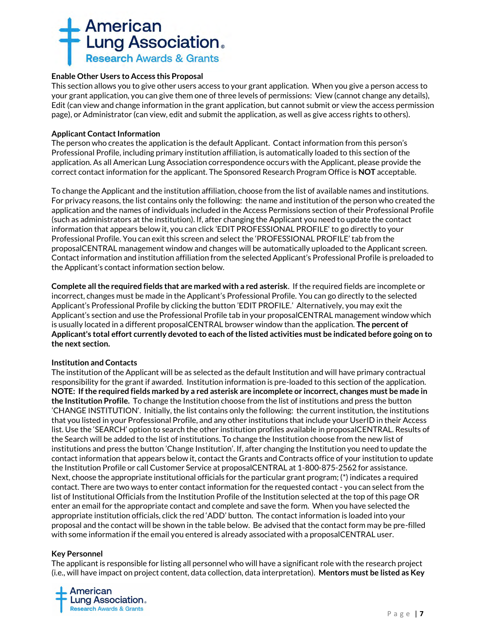# **American<br>Lung Association. Research Awards & Grants**

# **Enable Other Users to Access this Proposal**

This section allows you to give other users access to your grant application. When you give a person access to your grant application, you can give them one of three levels of permissions: View (cannot change any details), Edit (can view and change information in the grant application, but cannot submit or view the access permission page), or Administrator (can view, edit and submit the application, as well as give access rights to others).

# **Applicant Contact Information**

The person who creates the application is the default Applicant. Contact information from this person's Professional Profile, including primary institution affiliation, is automatically loaded to this section of the application. As all American Lung Association correspondence occurs with the Applicant, please provide the correct contact information for the applicant. The Sponsored Research Program Office is **NOT** acceptable.

To change the Applicant and the institution affiliation, choose from the list of available names and institutions. For privacy reasons, the list contains only the following: the name and institution of the person who created the application and the names of individuals included in the Access Permissions section of their Professional Profile (such as administrators at the institution). If, after changing the Applicant you need to update the contact information that appears below it, you can click 'EDIT PROFESSIONAL PROFILE' to go directly to your Professional Profile. You can exit this screen and select the 'PROFESSIONAL PROFILE' tab from the proposalCENTRAL management window and changes will be automatically uploaded to the Applicant screen. Contact information and institution affiliation from the selected Applicant's Professional Profile is preloaded to the Applicant's contact information section below.

**Complete all the required fields that are marked with a red asterisk**.If the required fields are incomplete or incorrect, changes must be made in the Applicant's Professional Profile. You can go directly to the selected Applicant's Professional Profile by clicking the button 'EDIT PROFILE.' Alternatively, you may exit the Applicant's section and use the Professional Profile tab in your proposalCENTRAL management window which is usually located in a different proposalCENTRAL browser window than the application. **The percent of Applicant's total effort currently devoted to each of the listed activities must be indicated before going on to the next section.**

#### **Institution and Contacts**

The institution of the Applicant will be as selected as the default Institution and will have primary contractual responsibility for the grant if awarded. Institution information is pre-loaded to this section of the application. **NOTE: If the required fields marked by a red asterisk are incomplete or incorrect, changes must be made in the Institution Profile.** To change the Institution choose from the list of institutions and press the button 'CHANGE INSTITUTION'. Initially, the list contains only the following: the current institution, the institutions that you listed in your Professional Profile, and any other institutions that include your UserID in their Access list. Use the 'SEARCH' option to search the other institution profiles available in proposalCENTRAL. Results of the Search will be added to the list of institutions. To change the Institution choose from the new list of institutions and press the button 'Change Institution'. If, after changing the Institution you need to update the contact information that appears below it, contact the Grants and Contracts office of your institution to update the Institution Profile or call Customer Service at proposalCENTRAL at 1-800-875-2562 for assistance. Next, choose the appropriate institutional officials for the particular grant program; (\*) indicates a required contact. There are two ways to enter contact information for the requested contact - you can select from the list of Institutional Officials from the Institution Profile of the Institution selected at the top of this page OR enter an email for the appropriate contact and complete and save the form. When you have selected the appropriate institution officials, click the red 'ADD' button. The contact information is loaded into your proposal and the contact will be shown in the table below. Be advised that the contact form may be pre-filled with some information if the email you entered is already associated with a proposalCENTRAL user.

#### **Key Personnel**

The applicant is responsible for listing all personnel who will have a significant role with the research project (i.e., will have impact on project content, data collection, data interpretation). **Mentors must be listed as Key** 

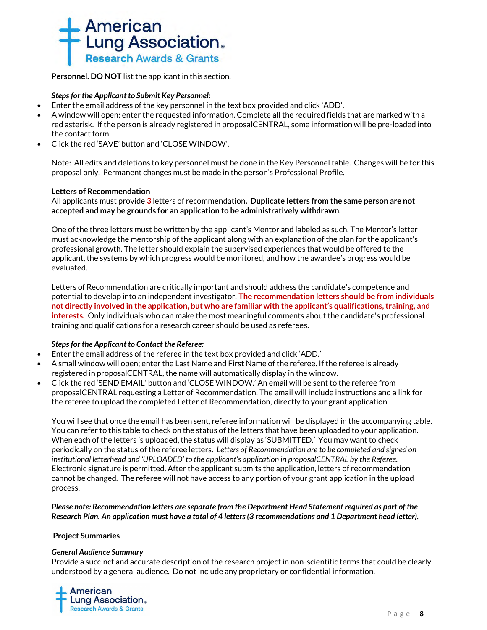

**Personnel. DO NOT** list the applicant in this section.

# *Steps for the Applicant to Submit Key Personnel:*

- Enter the email address of the key personnel in the text box provided and click 'ADD'.
- A window will open; enter the requested information. Complete all the required fields that are marked with a red asterisk. If the person is already registered in proposalCENTRAL, some information will be pre-loaded into the contact form.
- Click the red 'SAVE' button and 'CLOSE WINDOW'.

Note: All edits and deletions to key personnel must be done in the Key Personnel table. Changes will be for this proposal only. Permanent changes must be made in the person's Professional Profile.

#### **Letters of Recommendation**

All applicants must provide **3** letters of recommendation**. Duplicate letters from the same person are not accepted and may be grounds for an application to be administratively withdrawn.**

One of the three letters must be written by the applicant's Mentor and labeled as such. The Mentor's letter must acknowledge the mentorship of the applicant along with an explanation of the plan for the applicant's professional growth. The letter should explain the supervised experiences that would be offered to the applicant, the systems by which progress would be monitored, and how the awardee's progress would be evaluated.

Letters of Recommendation are critically important and should address the candidate's competence and potential to develop into an independent investigator. **The recommendation letters should be from individuals not directly involved in the application, but who are familiar with the applicant's qualifications, training, and interests.** Only individuals who can make the most meaningful comments about the candidate's professional training and qualifications for a research career should be used as referees.

#### *Steps for the Applicant to Contact the Referee:*

- Enter the email address of the referee in the text box provided and click 'ADD.'
- A small window will open; enter the Last Name and First Name of the referee. If the referee is already registered in proposalCENTRAL, the name will automatically display in the window.
- Click the red 'SEND EMAIL' button and 'CLOSE WINDOW.' An email will be sent to the referee from proposalCENTRAL requesting a Letter of Recommendation. The email will include instructions and a link for the referee to upload the completed Letter of Recommendation, directly to your grant application.

You will see that once the email has been sent, referee information will be displayed in the accompanying table. You can refer to this table to check on the status of the letters that have been uploaded to your application. When each of the letters is uploaded, the status will display as 'SUBMITTED.' You may want to check periodically on the status of the referee letters. *Letters of Recommendation are to be completed and signed on institutional letterhead and 'UPLOADED' to the applicant's application in proposalCENTRAL by the Referee.* Electronic signature is permitted. After the applicant submits the application, letters of recommendation cannot be changed. The referee will not have access to any portion of your grant application in the upload process.

*Please note: Recommendation letters are separate from the Department Head Statement required as part of the Research Plan. An application must have a total of 4 letters (3 recommendations and 1 Department head letter).*

#### **Project Summaries**

#### *General Audience Summary*

Provide a succinct and accurate description of the research project in non-scientific terms that could be clearly understood by a general audience. Do not include any proprietary or confidential information.

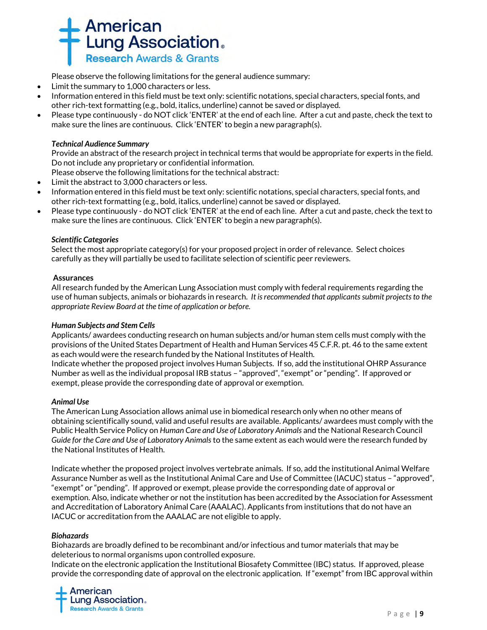

Please observe the following limitations for the general audience summary:

- Limit the summary to 1,000 characters or less.
- Information entered in this field must be text only: scientific notations, special characters, special fonts, and other rich-text formatting (e.g., bold, italics, underline) cannot be saved or displayed.
- Please type continuously do NOT click 'ENTER' at the end of each line. After a cut and paste, check the text to make sure the lines are continuous. Click 'ENTER' to begin a new paragraph(s).

### *Technical Audience Summary*

Provide an abstract of the research project in technical terms that would be appropriate for experts in the field. Do not include any proprietary or confidential information.

Please observe the following limitations for the technical abstract:

- Limit the abstract to 3,000 characters or less.
- Information entered in this field must be text only: scientific notations, special characters, special fonts, and other rich-text formatting (e.g., bold, italics, underline) cannot be saved or displayed.
- Please type continuously do NOT click 'ENTER' at the end of each line. After a cut and paste, check the text to make sure the lines are continuous. Click 'ENTER' to begin a new paragraph(s).

#### *Scientific Categories*

Select the most appropriate category(s) for your proposed project in order of relevance. Select choices carefully as they will partially be used to facilitate selection of scientific peer reviewers.

#### **Assurances**

All research funded by the American Lung Association must comply with federal requirements regarding the use of human subjects, animals or biohazards in research. *It is recommended that applicants submit projects to the appropriate Review Board at the time of application or before.* 

#### *Human Subjects and Stem Cells*

Applicants/ awardees conducting research on human subjects and/or human stem cells must comply with the provisions of the United States Department of Health and Human Services 45 C.F.R. pt. 46 to the same extent as each would were the research funded by the National Institutes of Health.

Indicate whether the proposed project involves Human Subjects. If so, add the institutional OHRP Assurance Number as well as the individual proposal IRB status – "approved", "exempt" or "pending". If approved or exempt, please provide the corresponding date of approval or exemption.

#### *Animal Use*

The American Lung Association allows animal use in biomedical research only when no other means of obtaining scientifically sound, valid and useful results are available. Applicants/ awardees must comply with the Public Health Service Policy on *Human Care and Use of Laboratory Animals* and the National Research Council *Guide for the Care and Use of Laboratory Animals* to the same extent as each would were the research funded by the National Institutes of Health.

Indicate whether the proposed project involves vertebrate animals. If so, add the institutional Animal Welfare Assurance Number as well as the Institutional Animal Care and Use of Committee (IACUC) status – "approved", "exempt" or "pending". If approved or exempt, please provide the corresponding date of approval or exemption. Also, indicate whether or not the institution has been accredited by the Association for Assessment and Accreditation of Laboratory Animal Care (AAALAC). Applicants from institutions that do not have an IACUC or accreditation from the AAALAC are not eligible to apply.

#### *Biohazards*

Biohazards are broadly defined to be recombinant and/or infectious and tumor materials that may be deleterious to normal organisms upon controlled exposure.

Indicate on the electronic application the Institutional Biosafety Committee (IBC) status. If approved, please provide the corresponding date of approval on the electronic application. If "exempt" from IBC approval within

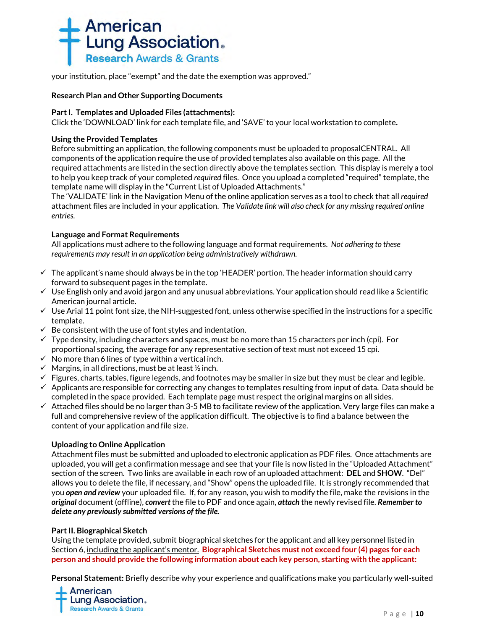

your institution, place "exempt" and the date the exemption was approved."

### **Research Plan and Other Supporting Documents**

### **Part I. Templates and Uploaded Files (attachments):**

Click the 'DOWNLOAD' link for each template file, and 'SAVE' to your local workstation to complete**.**

### **Using the Provided Templates**

Before submitting an application, the following components must be uploaded to proposalCENTRAL. All components of the application require the use of provided templates also available on this page. All the required attachments are listed in the section directly above the templates section. This display is merely a tool to help you keep track of your completed *required* files. Once you upload a completed "required" template, the template name will display in the "Current List of Uploaded Attachments."

The 'VALIDATE' link in the Navigation Menu of the online application serves as a tool to check that all *required*  attachment files are included in your application. *The Validate link will also check for any missing required online entries.*

# **Language and Format Requirements**

All applications must adhere to the following language and format requirements. *Not adhering to these requirements may result in an application being administratively withdrawn.*

- $\checkmark$  The applicant's name should always be in the top 'HEADER' portion. The header information should carry forward to subsequent pages in the template.
- ✓ Use English only and avoid jargon and any unusual abbreviations. Your application should read like a Scientific American journal article.
- $\checkmark$  Use Arial 11 point font size, the NIH-suggested font, unless otherwise specified in the instructions for a specific template.
- $\checkmark$  Be consistent with the use of font styles and indentation.
- $\checkmark$  Type density, including characters and spaces, must be no more than 15 characters per inch (cpi). For proportional spacing, the average for any representative section of text must not exceed 15 cpi.
- $\checkmark$  No more than 6 lines of type within a vertical inch.
- $\checkmark$  Margins, in all directions, must be at least  $\frac{1}{2}$  inch.
- $\checkmark$  Figures, charts, tables, figure legends, and footnotes may be smaller in size but they must be clear and legible.
- $\checkmark$  Applicants are responsible for correcting any changes to templates resulting from input of data. Data should be completed in the space provided. Each template page must respect the original margins on all sides.
- $\checkmark$  Attached files should be no larger than 3-5 MB to facilitate review of the application. Very large files can make a full and comprehensive review of the application difficult. The objective is to find a balance between the content of your application and file size.

#### **Uploading to Online Application**

Attachment files must be submitted and uploaded to electronic application as PDF files. Once attachments are uploaded, you will get a confirmation message and see that your file is now listed in the "Uploaded Attachment" section of the screen. Two links are available in each row of an uploaded attachment: **DEL** and **SHOW**. "Del" allows you to delete the file, if necessary, and "Show" opens the uploaded file. It is strongly recommended that you *open and review* your uploaded file. If, for any reason, you wish to modify the file, make the revisions in the *original* document (offline), *convert* the file to PDF and once again, *attach* the newly revised file. *Remember to delete any previously submitted versions of the file.*

#### **Part II. Biographical Sketch**

Using the template provided, submit biographical sketches for the applicant and all key personnel listed in Section 6, including the applicant's mentor. **Biographical Sketches must not exceed four (4) pages for each person and should provide the following information about each key person, starting with the applicant:**

**Personal Statement:** Briefly describe why your experience and qualifications make you particularly well-suited

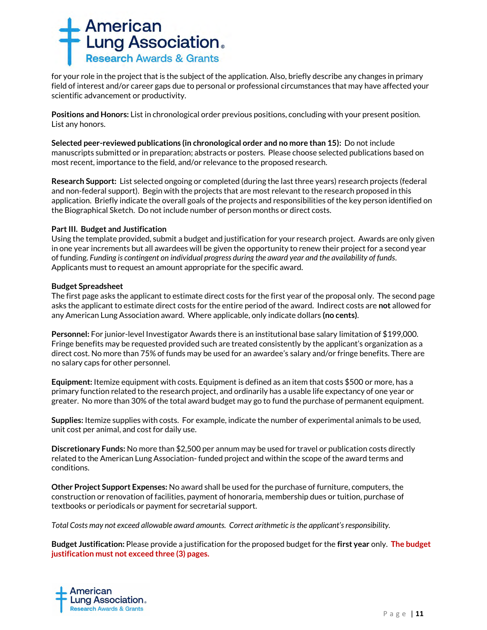

for your role in the project that is the subject of the application. Also, briefly describe any changes in primary field of interest and/or career gaps due to personal or professional circumstances that may have affected your scientific advancement or productivity.

**Positions and Honors:** List in chronological order previous positions, concluding with your present position. List any honors.

**Selected peer-reviewed publications (in chronological order and no more than 15):** Do not include manuscripts submitted or in preparation; abstracts or posters. Please choose selected publications based on most recent, importance to the field, and/or relevance to the proposed research.

**Research Support:** List selected ongoing or completed (during the last three years) research projects (federal and non-federal support). Begin with the projects that are most relevant to the research proposed in this application. Briefly indicate the overall goals of the projects and responsibilities of the key person identified on the Biographical Sketch. Do not include number of person months or direct costs.

#### **Part III. Budget and Justification**

Using the template provided, submit a budget and justification for your research project. Awards are only given in one year increments but all awardees will be given the opportunity to renew their project for a second year of funding. *Funding is contingent on individual progress during the award year and the availability of funds.* Applicants must to request an amount appropriate for the specific award.

#### **Budget Spreadsheet**

The first page asks the applicant to estimate direct costs for the first year of the proposal only. The second page asks the applicant to estimate direct costs for the entire period of the award. Indirect costs are **not** allowed for any American Lung Association award. Where applicable, only indicate dollars **(no cents)**.

**Personnel:** For junior-level Investigator Awards there is an institutional base salary limitation of \$199,000. Fringe benefits may be requested provided such are treated consistently by the applicant's organization as a direct cost. No more than 75% of funds may be used for an awardee's salary and/or fringe benefits. There are no salary caps for other personnel.

**Equipment:** Itemize equipment with costs. Equipment is defined as an item that costs \$500 or more, has a primary function related to the research project, and ordinarily has a usable life expectancy of one year or greater. No more than 30% of the total award budget may go to fund the purchase of permanent equipment.

**Supplies:** Itemize supplies with costs. For example, indicate the number of experimental animals to be used, unit cost per animal, and cost for daily use.

**Discretionary Funds:** No more than \$2,500 per annum may be used for travel or publication costs directly related to the American Lung Association- funded project and within the scope of the award terms and conditions.

**Other Project Support Expenses:** No award shall be used for the purchase of furniture, computers, the construction or renovation of facilities, payment of honoraria, membership dues or tuition, purchase of textbooks or periodicals or payment for secretarial support.

*Total Costs may not exceed allowable award amounts. Correct arithmetic is the applicant's responsibility.*

**Budget Justification:** Please provide a justification for the proposed budget for the **first year** only. **The budget justification must not exceed three (3) pages.** 

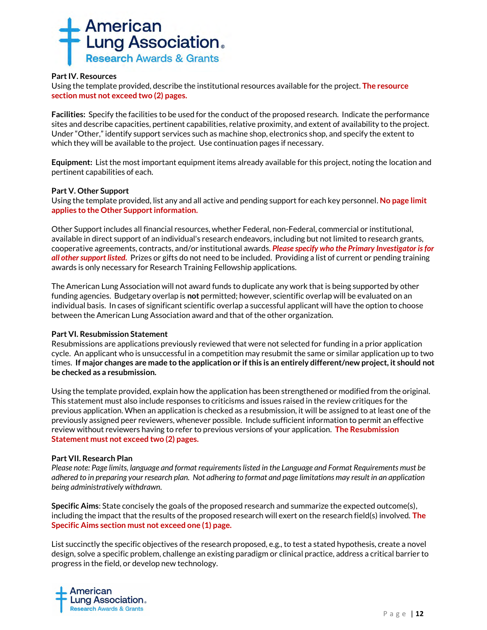

### **Part IV. Resources**

Using the template provided, describe the institutional resources available for the project. **The resource section must not exceed two (2) pages.**

**Facilities:** Specify the facilities to be used for the conduct of the proposed research. Indicate the performance sites and describe capacities, pertinent capabilities, relative proximity, and extent of availability to the project. Under "Other," identify support services such as machine shop, electronics shop, and specify the extent to which they will be available to the project. Use continuation pages if necessary.

**Equipment:** List the most important equipment items already available for this project, noting the location and pertinent capabilities of each.

#### **Part V. Other Support**

Using the template provided, list any and all active and pending support for each key personnel. **No page limit applies to the Other Support information.**

Other Support includes all financial resources, whether Federal, non-Federal, commercial or institutional, available in direct support of an individual's research endeavors, including but not limited to research grants, cooperative agreements, contracts, and/or institutional awards. *Please specify who the Primary Investigator is for all other support listed.* Prizes or gifts do not need to be included. Providing a list of current or pending training awards is only necessary for Research Training Fellowship applications.

The American Lung Association will not award funds to duplicate any work that is being supported by other funding agencies. Budgetary overlap is **not** permitted; however, scientific overlap will be evaluated on an individual basis. In cases of significant scientific overlap a successful applicant will have the option to choose between the American Lung Association award and that of the other organization.

#### **Part VI. Resubmission Statement**

Resubmissions are applications previously reviewed that were not selected for funding in a prior application cycle. An applicant who is unsuccessful in a competition may resubmit the same or similar application up to two times. **If major changes are made to the application or if this is an entirely different/new project, it should not be checked as a resubmission.**

Using the template provided, explain how the application has been strengthened or modified from the original. This statement must also include responses to criticisms and issues raised in the review critiques for the previous application. When an application is checked as a resubmission, it will be assigned to at least one of the previously assigned peer reviewers, whenever possible. Include sufficient information to permit an effective review without reviewers having to refer to previous versions of your application. **The Resubmission Statement must not exceed two (2) pages.**

#### **Part VII. Research Plan**

*Please note: Page limits, language and format requirements listed in the Language and Format Requirements must be adhered to in preparing your research plan. Not adhering to format and page limitations may result in an application being administratively withdrawn.*

**Specific Aims**: State concisely the goals of the proposed research and summarize the expected outcome(s), including the impact that the results of the proposed research will exert on the research field(s) involved. **The Specific Aims section must not exceed one (1) page.**

List succinctly the specific objectives of the research proposed, e.g., to test a stated hypothesis, create a novel design, solve a specific problem, challenge an existing paradigm or clinical practice, address a critical barrier to progress in the field, or develop new technology.

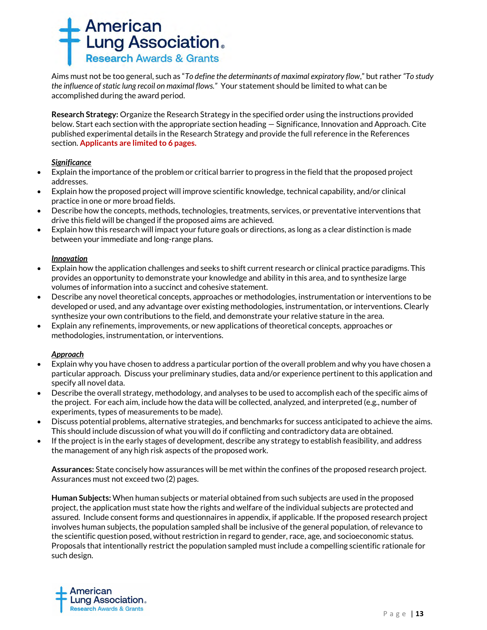

Aims must not be too general, such as "*To define the determinants of maximal expiratory flow*," but rather *"To study the influence of static lung recoil on maximal flows."* Your statement should be limited to what can be accomplished during the award period.

**Research Strategy:** Organize the Research Strategy in the specified order using the instructions provided below. Start each section with the appropriate section heading — Significance, Innovation and Approach. Cite published experimental details in the Research Strategy and provide the full reference in the References section. **Applicants are limited to 6 pages.**

# *Significance*

- Explain the importance of the problem or critical barrier to progress in the field that the proposed project addresses.
- Explain how the proposed project will improve scientific knowledge, technical capability, and/or clinical practice in one or more broad fields.
- Describe how the concepts, methods, technologies, treatments, services, or preventative interventions that drive this field will be changed if the proposed aims are achieved.
- Explain how this research will impact your future goals or directions, as long as a clear distinction is made between your immediate and long-range plans.

# *Innovation*

- Explain how the application challenges and seeks to shift current research or clinical practice paradigms. This provides an opportunity to demonstrate your knowledge and ability in this area, and to synthesize large volumes of information into a succinct and cohesive statement.
- Describe any novel theoretical concepts, approaches or methodologies, instrumentation or interventions to be developed or used, and any advantage over existing methodologies, instrumentation, or interventions. Clearly synthesize your own contributions to the field, and demonstrate your relative stature in the area.
- Explain any refinements, improvements, or new applications of theoretical concepts, approaches or methodologies, instrumentation, or interventions.

#### *Approach*

- Explain why you have chosen to address a particular portion of the overall problem and why you have chosen a particular approach. Discuss your preliminary studies, data and/or experience pertinent to this application and specify all novel data.
- Describe the overall strategy, methodology, and analyses to be used to accomplish each of the specific aims of the project. For each aim, include how the data will be collected, analyzed, and interpreted (e.g., number of experiments, types of measurements to be made).
- Discuss potential problems, alternative strategies, and benchmarks for success anticipated to achieve the aims. This should include discussion of what you will do if conflicting and contradictory data are obtained.
- If the project is in the early stages of development, describe any strategy to establish feasibility, and address the management of any high risk aspects of the proposed work.

**Assurances:** State concisely how assurances will be met within the confines of the proposed research project. Assurances must not exceed two (2) pages.

**Human Subjects:** When human subjects or material obtained from such subjects are used in the proposed project, the application must state how the rights and welfare of the individual subjects are protected and assured. Include consent forms and questionnaires in appendix, if applicable. If the proposed research project involves human subjects, the population sampled shall be inclusive of the general population, of relevance to the scientific question posed, without restriction in regard to gender, race, age, and socioeconomic status. Proposals that intentionally restrict the population sampled must include a compelling scientific rationale for such design.

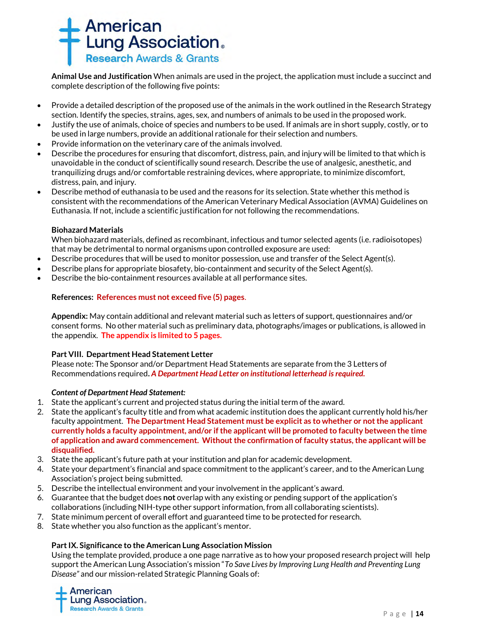

**Animal Use and Justification** When animals are used in the project, the application must include a succinct and complete description of the following five points:

- Provide a detailed description of the proposed use of the animals in the work outlined in the Research Strategy section. Identify the species, strains, ages, sex, and numbers of animals to be used in the proposed work.
- Justify the use of animals, choice of species and numbers to be used. If animals are in short supply, costly, or to be used in large numbers, provide an additional rationale for their selection and numbers.
- Provide information on the veterinary care of the animals involved.
- Describe the procedures for ensuring that discomfort, distress, pain, and injury will be limited to that which is unavoidable in the conduct of scientifically sound research. Describe the use of analgesic, anesthetic, and tranquilizing drugs and/or comfortable restraining devices, where appropriate, to minimize discomfort, distress, pain, and injury.
- Describe method of euthanasia to be used and the reasons for its selection. State whether this method is consistent with the recommendations of the American Veterinary Medical Association (AVMA) Guidelines on Euthanasia. If not, include a scientific justification for not following the recommendations.

#### **Biohazard Materials**

When biohazard materials, defined as recombinant, infectious and tumor selected agents (i.e. radioisotopes) that may be detrimental to normal organisms upon controlled exposure are used:

- Describe procedures that will be used to monitor possession, use and transfer of the Select Agent(s).
- Describe plans for appropriate biosafety, bio-containment and security of the Select Agent(s).
- Describe the bio-containment resources available at all performance sites.

# **References: References must not exceed five (5) pages**.

**Appendix:** May contain additional and relevant material such as letters of support, questionnaires and/or consent forms. No other material such as preliminary data, photographs/images or publications, is allowed in the appendix. **The appendix is limited to 5 pages.**

#### **Part VIII. Department Head Statement Letter**

Please note: The Sponsor and/or Department Head Statements are separate from the 3 Letters of Recommendations required**.** *A Department Head Letter on institutional letterhead is required.*

#### *Content of Department Head Statement:*

- 1. State the applicant's current and projected status during the initial term of the award.
- 2. State the applicant's faculty title and from what academic institution does the applicant currently hold his/her faculty appointment. **The Department Head Statement must be explicit as to whether or not the applicant currently holds a faculty appointment, and/or if the applicant will be promoted to faculty between the time of application and award commencement. Without the confirmation of faculty status, the applicant will be disqualified.**
- 3. State the applicant's future path at your institution and plan for academic development.
- 4. State your department's financial and space commitment to the applicant's career, and to the American Lung Association's project being submitted.
- 5. Describe the intellectual environment and your involvement in the applicant's award.
- 6. Guarantee that the budget does **not** overlap with any existing or pending support of the application's collaborations (including NIH-type other support information, from all collaborating scientists).
- 7. State minimum percent of overall effort and guaranteed time to be protected for research.
- 8. State whether you also function as the applicant's mentor.

#### **Part IX. Significance to the American Lung Association Mission**

Using the template provided, produce a one page narrative as to how your proposed research project will help support the American Lung Association's mission "*To Save Lives by Improving Lung Health and Preventing Lung Disease"* and our mission-related Strategic Planning Goals of: